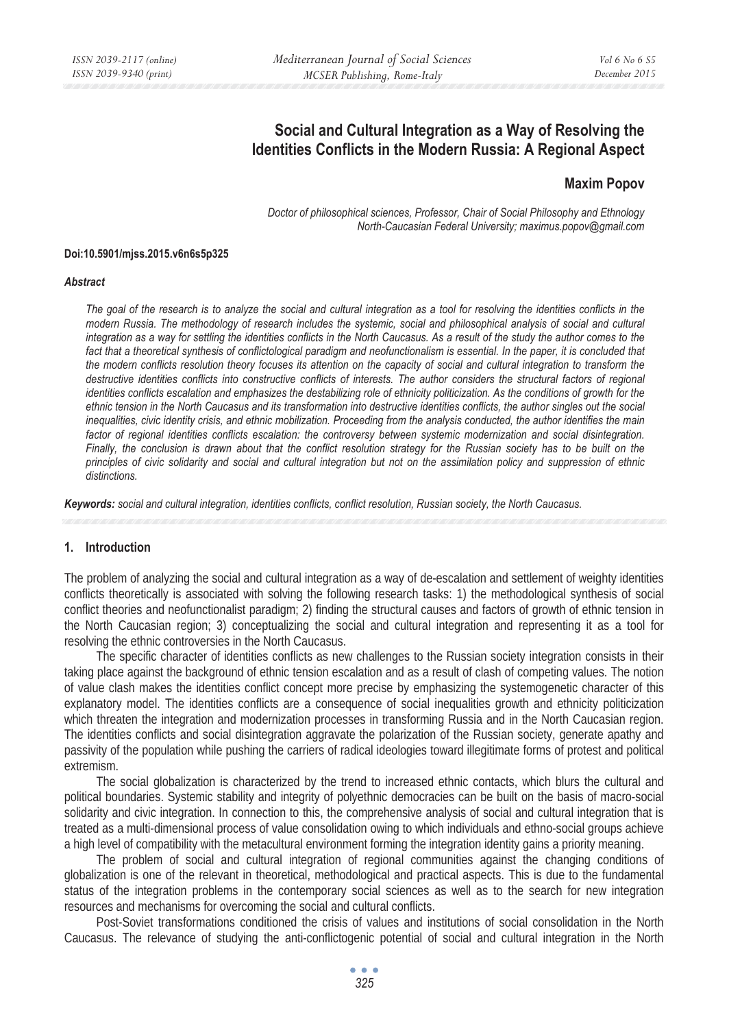# **Social and Cultural Integration as a Way of Resolving the Identities Conflicts in the Modern Russia: A Regional Aspect**

## **Maxim Popov**

*Doctor of philosophical sciences, Professor, Chair of Social Philosophy and Ethnology North-Caucasian Federal University; maximus.popov@gmail.com* 

### **Doi:10.5901/mjss.2015.v6n6s5p325**

#### *Abstract*

*The goal of the research is to analyze the social and cultural integration as a tool for resolving the identities conflicts in the modern Russia. The methodology of research includes the systemic, social and philosophical analysis of social and cultural integration as a way for settling the identities conflicts in the North Caucasus. As a result of the study the author comes to the*  fact that a theoretical synthesis of conflictological paradigm and neofunctionalism is essential. In the paper, it is concluded that *the modern conflicts resolution theory focuses its attention on the capacity of social and cultural integration to transform the*  destructive identities conflicts into constructive conflicts of interests. The author considers the structural factors of regional *identities conflicts escalation and emphasizes the destabilizing role of ethnicity politicization. As the conditions of growth for the ethnic tension in the North Caucasus and its transformation into destructive identities conflicts, the author singles out the social inequalities, civic identity crisis, and ethnic mobilization. Proceeding from the analysis conducted, the author identifies the main*  factor of regional identities conflicts escalation: the controversy between systemic modernization and social disintegration. *Finally, the conclusion is drawn about that the conflict resolution strategy for the Russian society has to be built on the principles of civic solidarity and social and cultural integration but not on the assimilation policy and suppression of ethnic distinctions.* 

*Keywords: social and cultural integration, identities conflicts, conflict resolution, Russian society, the North Caucasus.* 

#### **1. Introduction**

The problem of analyzing the social and cultural integration as a way of de-escalation and settlement of weighty identities conflicts theoretically is associated with solving the following research tasks: 1) the methodological synthesis of social conflict theories and neofunctionalist paradigm; 2) finding the structural causes and factors of growth of ethnic tension in the North Caucasian region; 3) conceptualizing the social and cultural integration and representing it as a tool for resolving the ethnic controversies in the North Caucasus.

The specific character of identities conflicts as new challenges to the Russian society integration consists in their taking place against the background of ethnic tension escalation and as a result of clash of competing values. The notion of value clash makes the identities conflict concept more precise by emphasizing the systemogenetic character of this explanatory model. The identities conflicts are a consequence of social inequalities growth and ethnicity politicization which threaten the integration and modernization processes in transforming Russia and in the North Caucasian region. The identities conflicts and social disintegration aggravate the polarization of the Russian society, generate apathy and passivity of the population while pushing the carriers of radical ideologies toward illegitimate forms of protest and political extremism.

The social globalization is characterized by the trend to increased ethnic contacts, which blurs the cultural and political boundaries. Systemic stability and integrity of polyethnic democracies can be built on the basis of macro-social solidarity and civic integration. In connection to this, the comprehensive analysis of social and cultural integration that is treated as a multi-dimensional process of value consolidation owing to which individuals and ethno-social groups achieve a high level of compatibility with the metacultural environment forming the integration identity gains a priority meaning.

The problem of social and cultural integration of regional communities against the changing conditions of globalization is one of the relevant in theoretical, methodological and practical aspects. This is due to the fundamental status of the integration problems in the contemporary social sciences as well as to the search for new integration resources and mechanisms for overcoming the social and cultural conflicts.

Post-Soviet transformations conditioned the crisis of values and institutions of social consolidation in the North Caucasus. The relevance of studying the anti-conflictogenic potential of social and cultural integration in the North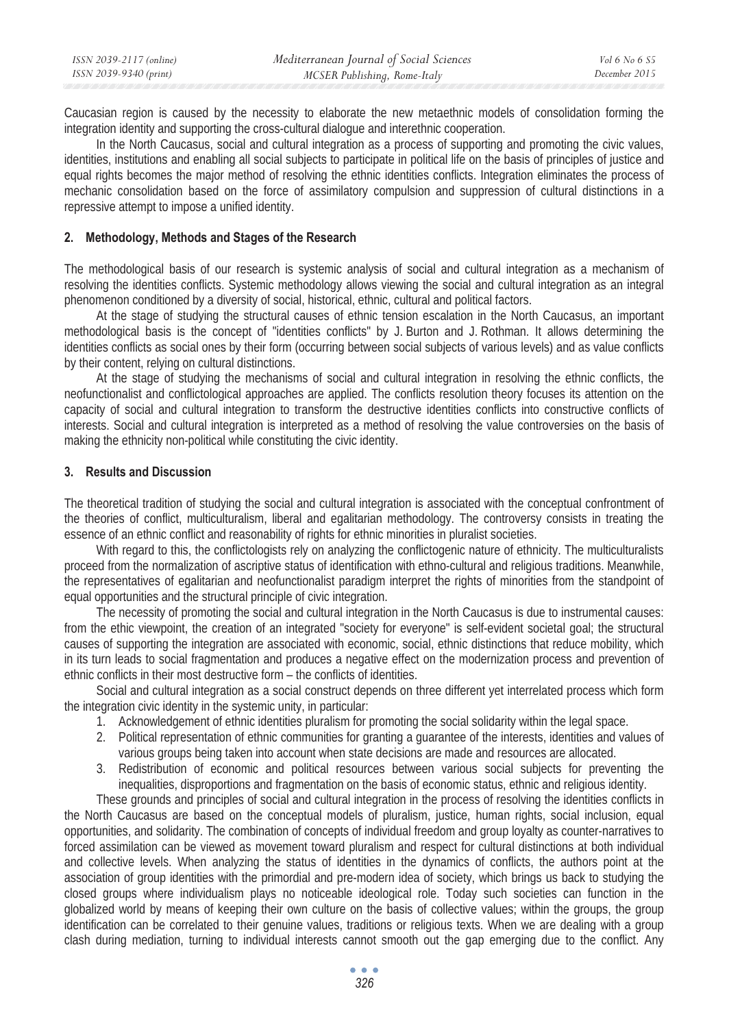Caucasian region is caused by the necessity to elaborate the new metaethnic models of consolidation forming the integration identity and supporting the cross-cultural dialogue and interethnic cooperation.

In the North Caucasus, social and cultural integration as a process of supporting and promoting the civic values, identities, institutions and enabling all social subjects to participate in political life on the basis of principles of justice and equal rights becomes the major method of resolving the ethnic identities conflicts. Integration eliminates the process of mechanic consolidation based on the force of assimilatory compulsion and suppression of cultural distinctions in a repressive attempt to impose a unified identity.

### **2. Methodology, Methods and Stages of the Research**

The methodological basis of our research is systemic analysis of social and cultural integration as a mechanism of resolving the identities conflicts. Systemic methodology allows viewing the social and cultural integration as an integral phenomenon conditioned by a diversity of social, historical, ethnic, cultural and political factors.

At the stage of studying the structural causes of ethnic tension escalation in the North Caucasus, an important methodological basis is the concept of "identities conflicts" by J. Burton and J. Rothman. It allows determining the identities conflicts as social ones by their form (occurring between social subjects of various levels) and as value conflicts by their content, relying on cultural distinctions.

At the stage of studying the mechanisms of social and cultural integration in resolving the ethnic conflicts, the neofunctionalist and conflictological approaches are applied. The conflicts resolution theory focuses its attention on the capacity of social and cultural integration to transform the destructive identities conflicts into constructive conflicts of interests. Social and cultural integration is interpreted as a method of resolving the value controversies on the basis of making the ethnicity non-political while constituting the civic identity.

### **3. Results and Discussion**

The theoretical tradition of studying the social and cultural integration is associated with the conceptual confrontment of the theories of conflict, multiculturalism, liberal and egalitarian methodology. The controversy consists in treating the essence of an ethnic conflict and reasonability of rights for ethnic minorities in pluralist societies.

With regard to this, the conflictologists rely on analyzing the conflictogenic nature of ethnicity. The multiculturalists proceed from the normalization of ascriptive status of identification with ethno-cultural and religious traditions. Meanwhile, the representatives of egalitarian and neofunctionalist paradigm interpret the rights of minorities from the standpoint of equal opportunities and the structural principle of civic integration.

The necessity of promoting the social and cultural integration in the North Caucasus is due to instrumental causes: from the ethic viewpoint, the creation of an integrated "society for everyone" is self-evident societal goal; the structural causes of supporting the integration are associated with economic, social, ethnic distinctions that reduce mobility, which in its turn leads to social fragmentation and produces a negative effect on the modernization process and prevention of ethnic conflicts in their most destructive form – the conflicts of identities.

Social and cultural integration as a social construct depends on three different yet interrelated process which form the integration civic identity in the systemic unity, in particular:

- 1. Acknowledgement of ethnic identities pluralism for promoting the social solidarity within the legal space.
- 2. Political representation of ethnic communities for granting a guarantee of the interests, identities and values of various groups being taken into account when state decisions are made and resources are allocated.
- 3. Redistribution of economic and political resources between various social subjects for preventing the inequalities, disproportions and fragmentation on the basis of economic status, ethnic and religious identity.

These grounds and principles of social and cultural integration in the process of resolving the identities conflicts in the North Caucasus are based on the conceptual models of pluralism, justice, human rights, social inclusion, equal opportunities, and solidarity. The combination of concepts of individual freedom and group loyalty as counter-narratives to forced assimilation can be viewed as movement toward pluralism and respect for cultural distinctions at both individual and collective levels. When analyzing the status of identities in the dynamics of conflicts, the authors point at the association of group identities with the primordial and pre-modern idea of society, which brings us back to studying the closed groups where individualism plays no noticeable ideological role. Today such societies can function in the globalized world by means of keeping their own culture on the basis of collective values; within the groups, the group identification can be correlated to their genuine values, traditions or religious texts. When we are dealing with a group clash during mediation, turning to individual interests cannot smooth out the gap emerging due to the conflict. Any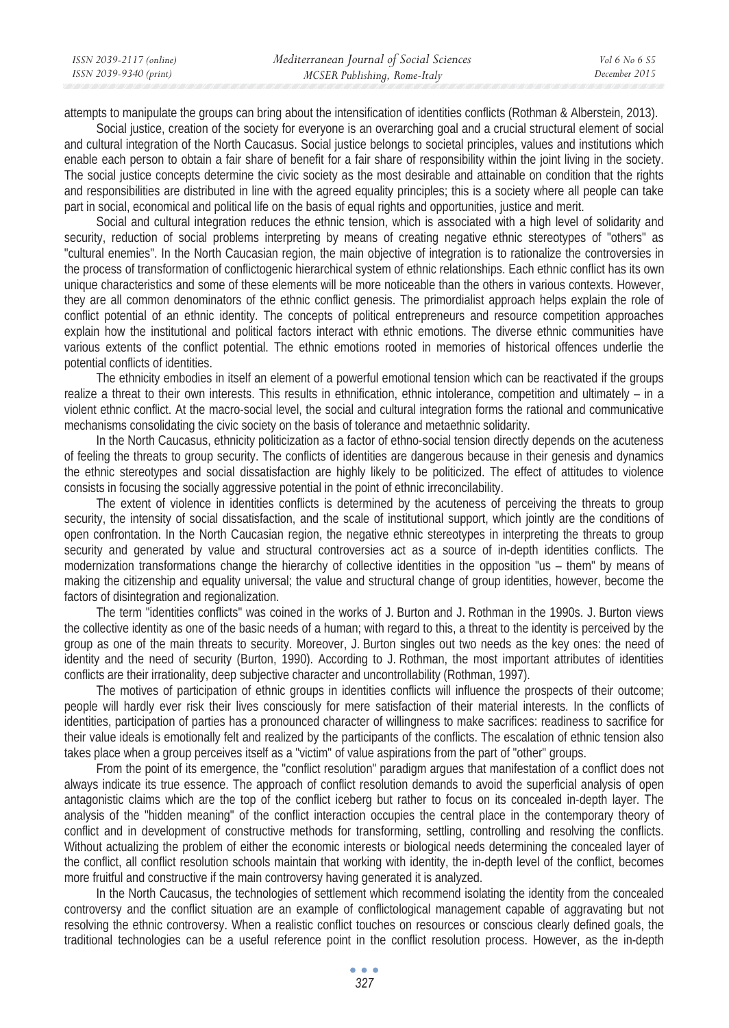| ISSN 2039-2117 (online) | Mediterranean Journal of Social Sciences | $Vol 6$ No $6$ S5 |
|-------------------------|------------------------------------------|-------------------|
| ISSN 2039-9340 (print)  | MCSER Publishing, Rome-Italy             | December 2015     |

attempts to manipulate the groups can bring about the intensification of identities conflicts (Rothman & Alberstein, 2013).

Social justice, creation of the society for everyone is an overarching goal and a crucial structural element of social and cultural integration of the North Caucasus. Social justice belongs to societal principles, values and institutions which enable each person to obtain a fair share of benefit for a fair share of responsibility within the joint living in the society. The social justice concepts determine the civic society as the most desirable and attainable on condition that the rights and responsibilities are distributed in line with the agreed equality principles; this is a society where all people can take part in social, economical and political life on the basis of equal rights and opportunities, justice and merit.

Social and cultural integration reduces the ethnic tension, which is associated with a high level of solidarity and security, reduction of social problems interpreting by means of creating negative ethnic stereotypes of "others" as "cultural enemies". In the North Caucasian region, the main objective of integration is to rationalize the controversies in the process of transformation of conflictogenic hierarchical system of ethnic relationships. Each ethnic conflict has its own unique characteristics and some of these elements will be more noticeable than the others in various contexts. However, they are all common denominators of the ethnic conflict genesis. The primordialist approach helps explain the role of conflict potential of an ethnic identity. The concepts of political entrepreneurs and resource competition approaches explain how the institutional and political factors interact with ethnic emotions. The diverse ethnic communities have various extents of the conflict potential. The ethnic emotions rooted in memories of historical offences underlie the potential conflicts of identities.

The ethnicity embodies in itself an element of a powerful emotional tension which can be reactivated if the groups realize a threat to their own interests. This results in ethnification, ethnic intolerance, competition and ultimately – in a violent ethnic conflict. At the macro-social level, the social and cultural integration forms the rational and communicative mechanisms consolidating the civic society on the basis of tolerance and metaethnic solidarity.

In the North Caucasus, ethnicity politicization as a factor of ethno-social tension directly depends on the acuteness of feeling the threats to group security. The conflicts of identities are dangerous because in their genesis and dynamics the ethnic stereotypes and social dissatisfaction are highly likely to be politicized. The effect of attitudes to violence consists in focusing the socially aggressive potential in the point of ethnic irreconcilability.

The extent of violence in identities conflicts is determined by the acuteness of perceiving the threats to group security, the intensity of social dissatisfaction, and the scale of institutional support, which jointly are the conditions of open confrontation. In the North Caucasian region, the negative ethnic stereotypes in interpreting the threats to group security and generated by value and structural controversies act as a source of in-depth identities conflicts. The modernization transformations change the hierarchy of collective identities in the opposition "us – them" by means of making the citizenship and equality universal; the value and structural change of group identities, however, become the factors of disintegration and regionalization.

The term "identities conflicts" was coined in the works of J. Burton and J. Rothman in the 1990s. J. Burton views the collective identity as one of the basic needs of a human; with regard to this, a threat to the identity is perceived by the group as one of the main threats to security. Moreover, J. Burton singles out two needs as the key ones: the need of identity and the need of security (Burton, 1990). According to J. Rothman, the most important attributes of identities conflicts are their irrationality, deep subjective character and uncontrollability (Rothman, 1997).

The motives of participation of ethnic groups in identities conflicts will influence the prospects of their outcome; people will hardly ever risk their lives consciously for mere satisfaction of their material interests. In the conflicts of identities, participation of parties has a pronounced character of willingness to make sacrifices: readiness to sacrifice for their value ideals is emotionally felt and realized by the participants of the conflicts. The escalation of ethnic tension also takes place when a group perceives itself as a "victim" of value aspirations from the part of "other" groups.

From the point of its emergence, the "conflict resolution" paradigm argues that manifestation of a conflict does not always indicate its true essence. The approach of conflict resolution demands to avoid the superficial analysis of open antagonistic claims which are the top of the conflict iceberg but rather to focus on its concealed in-depth layer. The analysis of the "hidden meaning" of the conflict interaction occupies the central place in the contemporary theory of conflict and in development of constructive methods for transforming, settling, controlling and resolving the conflicts. Without actualizing the problem of either the economic interests or biological needs determining the concealed layer of the conflict, all conflict resolution schools maintain that working with identity, the in-depth level of the conflict, becomes more fruitful and constructive if the main controversy having generated it is analyzed.

In the North Caucasus, the technologies of settlement which recommend isolating the identity from the concealed controversy and the conflict situation are an example of conflictological management capable of aggravating but not resolving the ethnic controversy. When a realistic conflict touches on resources or conscious clearly defined goals, the traditional technologies can be a useful reference point in the conflict resolution process. However, as the in-depth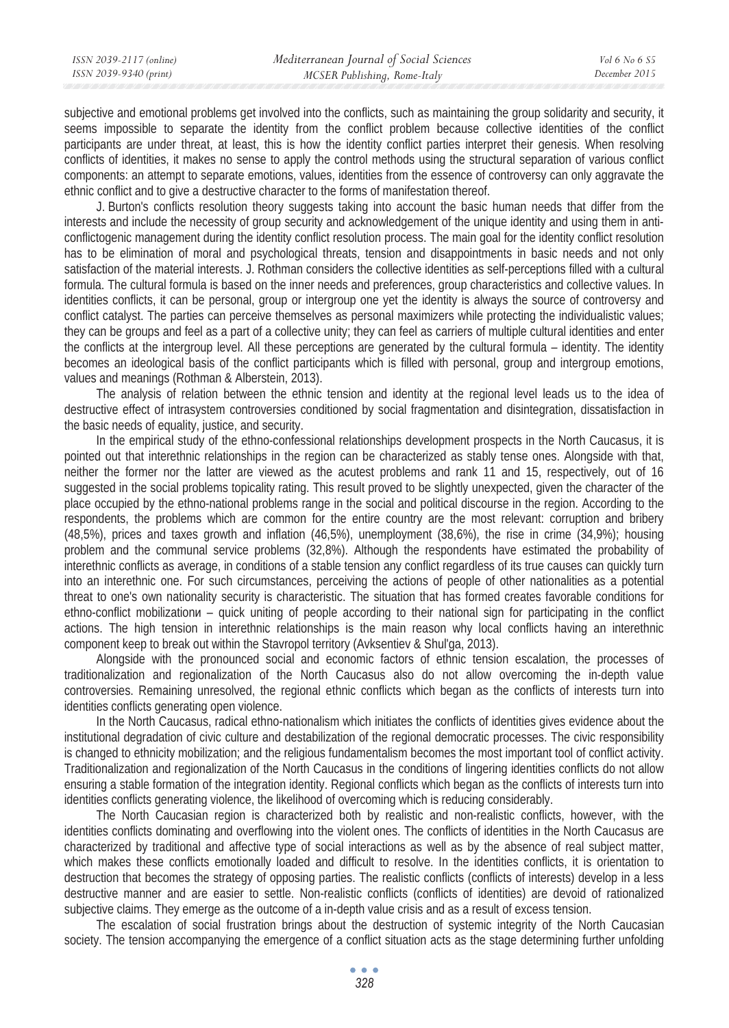| ISSN 2039-2117 (online) | Mediterranean Journal of Social Sciences | Vol 6 No 6 S5 |
|-------------------------|------------------------------------------|---------------|
| ISSN 2039-9340 (print)  | MCSER Publishing, Rome-Italy             | December 2015 |

subjective and emotional problems get involved into the conflicts, such as maintaining the group solidarity and security, it seems impossible to separate the identity from the conflict problem because collective identities of the conflict participants are under threat, at least, this is how the identity conflict parties interpret their genesis. When resolving conflicts of identities, it makes no sense to apply the control methods using the structural separation of various conflict components: an attempt to separate emotions, values, identities from the essence of controversy can only aggravate the ethnic conflict and to give a destructive character to the forms of manifestation thereof.

J. Burton's conflicts resolution theory suggests taking into account the basic human needs that differ from the interests and include the necessity of group security and acknowledgement of the unique identity and using them in anticonflictogenic management during the identity conflict resolution process. The main goal for the identity conflict resolution has to be elimination of moral and psychological threats, tension and disappointments in basic needs and not only satisfaction of the material interests. J. Rothman considers the collective identities as self-perceptions filled with a cultural formula. The cultural formula is based on the inner needs and preferences, group characteristics and collective values. In identities conflicts, it can be personal, group or intergroup one yet the identity is always the source of controversy and conflict catalyst. The parties can perceive themselves as personal maximizers while protecting the individualistic values; they can be groups and feel as a part of a collective unity; they can feel as carriers of multiple cultural identities and enter the conflicts at the intergroup level. All these perceptions are generated by the cultural formula – identity. The identity becomes an ideological basis of the conflict participants which is filled with personal, group and intergroup emotions, values and meanings (Rothman & Alberstein, 2013).

The analysis of relation between the ethnic tension and identity at the regional level leads us to the idea of destructive effect of intrasystem controversies conditioned by social fragmentation and disintegration, dissatisfaction in the basic needs of equality, justice, and security.

In the empirical study of the ethno-confessional relationships development prospects in the North Caucasus, it is pointed out that interethnic relationships in the region can be characterized as stably tense ones. Alongside with that, neither the former nor the latter are viewed as the acutest problems and rank 11 and 15, respectively, out of 16 suggested in the social problems topicality rating. This result proved to be slightly unexpected, given the character of the place occupied by the ethno-national problems range in the social and political discourse in the region. According to the respondents, the problems which are common for the entire country are the most relevant: corruption and bribery (48,5%), prices and taxes growth and inflation (46,5%), unemployment (38,6%), the rise in crime (34,9%); housing problem and the communal service problems (32,8%). Although the respondents have estimated the probability of interethnic conflicts as average, in conditions of a stable tension any conflict regardless of its true causes can quickly turn into an interethnic one. For such circumstances, perceiving the actions of people of other nationalities as a potential threat to one's own nationality security is characteristic. The situation that has formed creates favorable conditions for ethno-conflict mobilization — quick uniting of people according to their national sign for participating in the conflict actions. The high tension in interethnic relationships is the main reason why local conflicts having an interethnic component keep to break out within the Stavropol territory (Avksentiev & Shul'ga, 2013).

Alongside with the pronounced social and economic factors of ethnic tension escalation, the processes of traditionalization and regionalization of the North Caucasus also do not allow overcoming the in-depth value controversies. Remaining unresolved, the regional ethnic conflicts which began as the conflicts of interests turn into identities conflicts generating open violence.

In the North Caucasus, radical ethno-nationalism which initiates the conflicts of identities gives evidence about the institutional degradation of civic culture and destabilization of the regional democratic processes. The civic responsibility is changed to ethnicity mobilization; and the religious fundamentalism becomes the most important tool of conflict activity. Traditionalization and regionalization of the North Caucasus in the conditions of lingering identities conflicts do not allow ensuring a stable formation of the integration identity. Regional conflicts which began as the conflicts of interests turn into identities conflicts generating violence, the likelihood of overcoming which is reducing considerably.

The North Caucasian region is characterized both by realistic and non-realistic conflicts, however, with the identities conflicts dominating and overflowing into the violent ones. The conflicts of identities in the North Caucasus are characterized by traditional and affective type of social interactions as well as by the absence of real subject matter, which makes these conflicts emotionally loaded and difficult to resolve. In the identities conflicts, it is orientation to destruction that becomes the strategy of opposing parties. The realistic conflicts (conflicts of interests) develop in a less destructive manner and are easier to settle. Non-realistic conflicts (conflicts of identities) are devoid of rationalized subjective claims. They emerge as the outcome of a in-depth value crisis and as a result of excess tension.

The escalation of social frustration brings about the destruction of systemic integrity of the North Caucasian society. The tension accompanying the emergence of a conflict situation acts as the stage determining further unfolding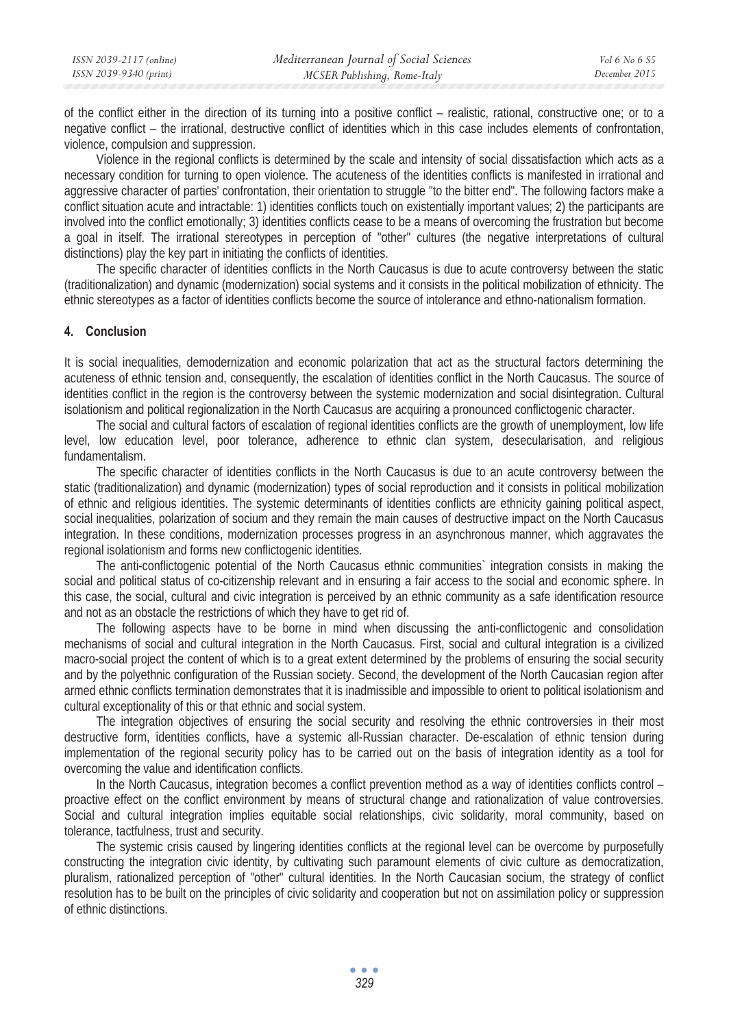*December 2015* 

of the conflict either in the direction of its turning into a positive conflict – realistic, rational, constructive one; or to a negative conflict – the irrational, destructive conflict of identities which in this case includes elements of confrontation, violence, compulsion and suppression.

Violence in the regional conflicts is determined by the scale and intensity of social dissatisfaction which acts as a necessary condition for turning to open violence. The acuteness of the identities conflicts is manifested in irrational and aggressive character of parties' confrontation, their orientation to struggle "to the bitter end". The following factors make a conflict situation acute and intractable: 1) identities conflicts touch on existentially important values; 2) the participants are involved into the conflict emotionally; 3) identities conflicts cease to be a means of overcoming the frustration but become a goal in itself. The irrational stereotypes in perception of "other" cultures (the negative interpretations of cultural distinctions) play the key part in initiating the conflicts of identities.

The specific character of identities conflicts in the North Caucasus is due to acute controversy between the static (traditionalization) and dynamic (modernization) social systems and it consists in the political mobilization of ethnicity. The ethnic stereotypes as a factor of identities conflicts become the source of intolerance and ethno-nationalism formation.

### **4. Conclusion**

It is social inequalities, demodernization and economic polarization that act as the structural factors determining the acuteness of ethnic tension and, consequently, the escalation of identities conflict in the North Caucasus. The source of identities conflict in the region is the controversy between the systemic modernization and social disintegration. Cultural isolationism and political regionalization in the North Caucasus are acquiring a pronounced conflictogenic character.

The social and cultural factors of escalation of regional identities conflicts are the growth of unemployment, low life level, low education level, poor tolerance, adherence to ethnic clan system, desecularisation, and religious fundamentalism.

The specific character of identities conflicts in the North Caucasus is due to an acute controversy between the static (traditionalization) and dynamic (modernization) types of social reproduction and it consists in political mobilization of ethnic and religious identities. The systemic determinants of identities conflicts are ethnicity gaining political aspect, social inequalities, polarization of socium and they remain the main causes of destructive impact on the North Caucasus integration. In these conditions, modernization processes progress in an asynchronous manner, which aggravates the regional isolationism and forms new conflictogenic identities.

The anti-conflictogenic potential of the North Caucasus ethnic communities` integration consists in making the social and political status of co-citizenship relevant and in ensuring a fair access to the social and economic sphere. In this case, the social, cultural and civic integration is perceived by an ethnic community as a safe identification resource and not as an obstacle the restrictions of which they have to get rid of.

The following aspects have to be borne in mind when discussing the anti-conflictogenic and consolidation mechanisms of social and cultural integration in the North Caucasus. First, social and cultural integration is a civilized macro-social project the content of which is to a great extent determined by the problems of ensuring the social security and by the polyethnic configuration of the Russian society. Second, the development of the North Caucasian region after armed ethnic conflicts termination demonstrates that it is inadmissible and impossible to orient to political isolationism and cultural exceptionality of this or that ethnic and social system.

The integration objectives of ensuring the social security and resolving the ethnic controversies in their most destructive form, identities conflicts, have a systemic all-Russian character. De-escalation of ethnic tension during implementation of the regional security policy has to be carried out on the basis of integration identity as a tool for overcoming the value and identification conflicts.

In the North Caucasus, integration becomes a conflict prevention method as a way of identities conflicts control – proactive effect on the conflict environment by means of structural change and rationalization of value controversies. Social and cultural integration implies equitable social relationships, civic solidarity, moral community, based on tolerance, tactfulness, trust and security.

The systemic crisis caused by lingering identities conflicts at the regional level can be overcome by purposefully constructing the integration civic identity, by cultivating such paramount elements of civic culture as democratization, pluralism, rationalized perception of "other" cultural identities. In the North Caucasian socium, the strategy of conflict resolution has to be built on the principles of civic solidarity and cooperation but not on assimilation policy or suppression of ethnic distinctions.